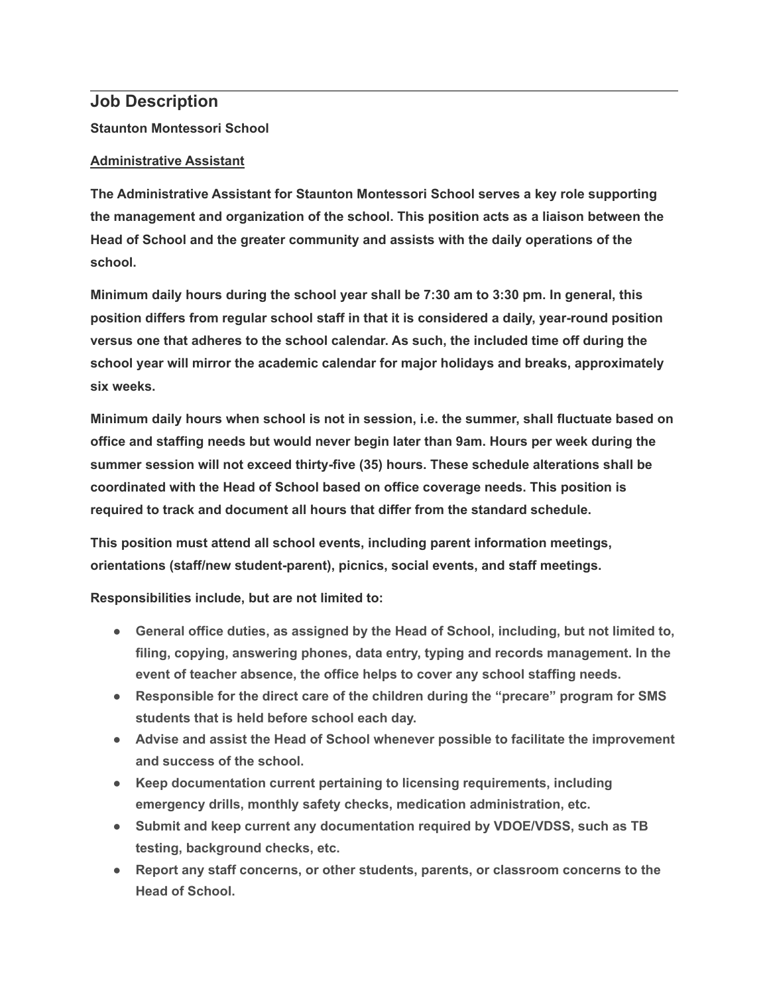## **Job Description**

**Staunton Montessori School**

## **Administrative Assistant**

**The Administrative Assistant for Staunton Montessori School serves a key role supporting the management and organization of the school. This position acts as a liaison between the Head of School and the greater community and assists with the daily operations of the school.**

**Minimum daily hours during the school year shall be 7:30 am to 3:30 pm. In general, this position differs from regular school staff in that it is considered a daily, year-round position versus one that adheres to the school calendar. As such, the included time off during the school year will mirror the academic calendar for major holidays and breaks, approximately six weeks.**

**Minimum daily hours when school is not in session, i.e. the summer, shall fluctuate based on office and staffing needs but would never begin later than 9am. Hours per week during the summer session will not exceed thirty-five (35) hours. These schedule alterations shall be coordinated with the Head of School based on office coverage needs. This position is required to track and document all hours that differ from the standard schedule.**

**This position must attend all school events, including parent information meetings, orientations (staff/new student-parent), picnics, social events, and staff meetings.**

**Responsibilities include, but are not limited to:**

- **General office duties, as assigned by the Head of School, including, but not limited to, filing, copying, answering phones, data entry, typing and records management. In the event of teacher absence, the office helps to cover any school staffing needs.**
- **Responsible for the direct care of the children during the "precare" program for SMS students that is held before school each day.**
- **Advise and assist the Head of School whenever possible to facilitate the improvement and success of the school.**
- **Keep documentation current pertaining to licensing requirements, including emergency drills, monthly safety checks, medication administration, etc.**
- **Submit and keep current any documentation required by VDOE/VDSS, such as TB testing, background checks, etc.**
- **Report any staff concerns, or other students, parents, or classroom concerns to the Head of School.**